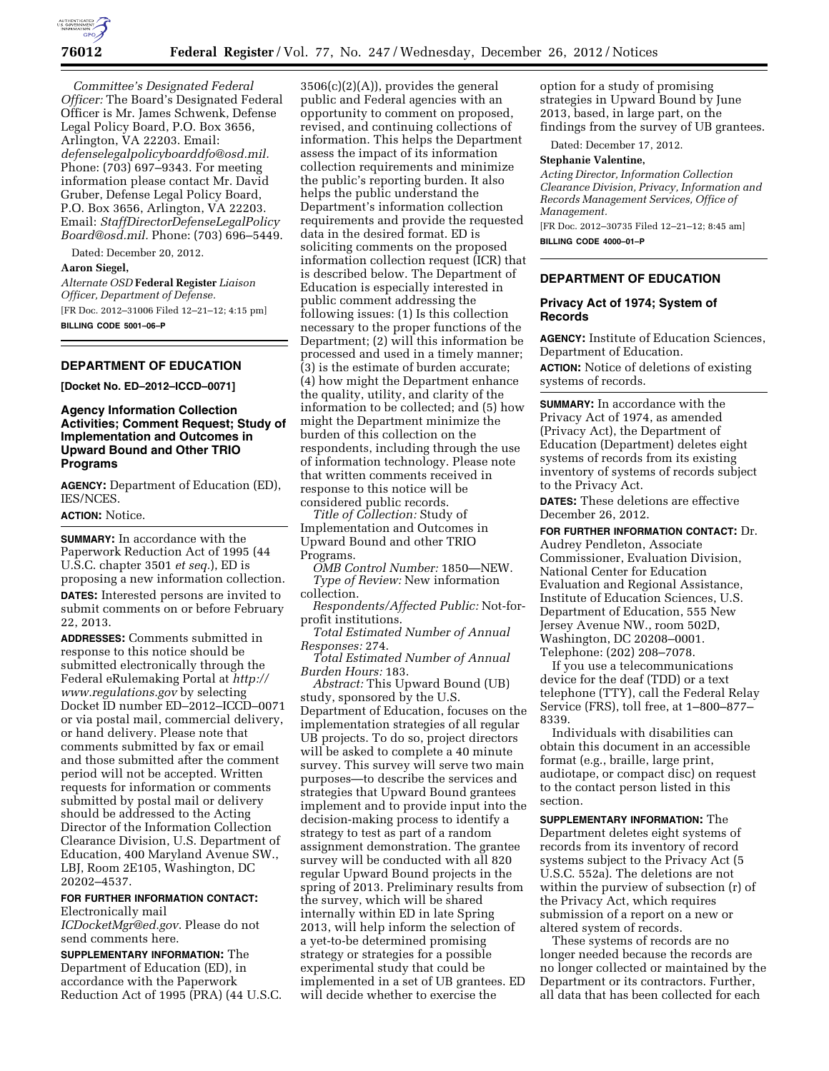

*Committee's Designated Federal Officer:* The Board's Designated Federal Officer is Mr. James Schwenk, Defense Legal Policy Board, P.O. Box 3656, Arlington, VA 22203. Email: *[defenselegalpolicyboarddfo@osd.mil.](mailto:defenselegalpolicyboarddfo@osd.mil)*  Phone: (703) 697–9343. For meeting information please contact Mr. David Gruber, Defense Legal Policy Board, P.O. Box 3656, Arlington, VA 22203. Email: *[StaffDirectorDefenseLegalPolicy](mailto:StaffDirectorDefenseLegalPolicyBoard@osd.mil) [Board@osd.mil.](mailto:StaffDirectorDefenseLegalPolicyBoard@osd.mil)* Phone: (703) 696–5449.

Dated: December 20, 2012.

# **Aaron Siegel,**

*Alternate OSD* **Federal Register** *Liaison Officer, Department of Defense.*  [FR Doc. 2012–31006 Filed 12–21–12; 4:15 pm] **BILLING CODE 5001–06–P** 

# **DEPARTMENT OF EDUCATION**

**[Docket No. ED–2012–ICCD–0071]** 

# **Agency Information Collection Activities; Comment Request; Study of Implementation and Outcomes in Upward Bound and Other TRIO Programs**

**AGENCY:** Department of Education (ED), IES/NCES.

# **ACTION:** Notice.

**SUMMARY:** In accordance with the Paperwork Reduction Act of 1995 (44 U.S.C. chapter 3501 *et seq.*), ED is proposing a new information collection. **DATES:** Interested persons are invited to submit comments on or before February 22, 2013.

**ADDRESSES:** Comments submitted in response to this notice should be submitted electronically through the Federal eRulemaking Portal at *[http://](http://www.regulations.gov) [www.regulations.gov](http://www.regulations.gov)* by selecting Docket ID number ED–2012–ICCD–0071 or via postal mail, commercial delivery, or hand delivery. Please note that comments submitted by fax or email and those submitted after the comment period will not be accepted. Written requests for information or comments submitted by postal mail or delivery should be addressed to the Acting Director of the Information Collection Clearance Division, U.S. Department of Education, 400 Maryland Avenue SW., LBJ, Room 2E105, Washington, DC 20202–4537.

# **FOR FURTHER INFORMATION CONTACT:**  Electronically mail

*[ICDocketMgr@ed.gov](mailto:ICDocketMgr@ed.gov)*. Please do not send comments here.

**SUPPLEMENTARY INFORMATION:** The Department of Education (ED), in accordance with the Paperwork Reduction Act of 1995 (PRA) (44 U.S.C.

3506(c)(2)(A)), provides the general public and Federal agencies with an opportunity to comment on proposed, revised, and continuing collections of information. This helps the Department assess the impact of its information collection requirements and minimize the public's reporting burden. It also helps the public understand the Department's information collection requirements and provide the requested data in the desired format. ED is soliciting comments on the proposed information collection request (ICR) that is described below. The Department of Education is especially interested in public comment addressing the following issues: (1) Is this collection necessary to the proper functions of the Department; (2) will this information be processed and used in a timely manner; (3) is the estimate of burden accurate; (4) how might the Department enhance the quality, utility, and clarity of the information to be collected; and (5) how might the Department minimize the burden of this collection on the respondents, including through the use of information technology. Please note that written comments received in response to this notice will be considered public records.

*Title of Collection:* Study of Implementation and Outcomes in Upward Bound and other TRIO Programs.

*OMB Control Number:* 1850—NEW. *Type of Review:* New information collection.

*Respondents/Affected Public:* Not-forprofit institutions.

*Total Estimated Number of Annual Responses:* 274.

*Total Estimated Number of Annual Burden Hours:* 183.

*Abstract:* This Upward Bound (UB) study, sponsored by the U.S. Department of Education, focuses on the implementation strategies of all regular UB projects. To do so, project directors will be asked to complete a 40 minute survey. This survey will serve two main purposes—to describe the services and strategies that Upward Bound grantees implement and to provide input into the decision-making process to identify a strategy to test as part of a random assignment demonstration. The grantee survey will be conducted with all 820 regular Upward Bound projects in the spring of 2013. Preliminary results from the survey, which will be shared internally within ED in late Spring 2013, will help inform the selection of a yet-to-be determined promising strategy or strategies for a possible experimental study that could be implemented in a set of UB grantees. ED will decide whether to exercise the

option for a study of promising strategies in Upward Bound by June 2013, based, in large part, on the findings from the survey of UB grantees.

Dated: December 17, 2012.

#### **Stephanie Valentine,**

*Acting Director, Information Collection Clearance Division, Privacy, Information and Records Management Services, Office of Management.* 

[FR Doc. 2012–30735 Filed 12–21–12; 8:45 am] **BILLING CODE 4000–01–P** 

# **DEPARTMENT OF EDUCATION**

### **Privacy Act of 1974; System of Records**

**AGENCY:** Institute of Education Sciences, Department of Education.

**ACTION:** Notice of deletions of existing systems of records.

**SUMMARY:** In accordance with the Privacy Act of 1974, as amended (Privacy Act), the Department of Education (Department) deletes eight systems of records from its existing inventory of systems of records subject to the Privacy Act.

**DATES:** These deletions are effective December 26, 2012.

**FOR FURTHER INFORMATION CONTACT:** Dr. Audrey Pendleton, Associate Commissioner, Evaluation Division, National Center for Education Evaluation and Regional Assistance, Institute of Education Sciences, U.S. Department of Education, 555 New Jersey Avenue NW., room 502D, Washington, DC 20208–0001. Telephone: (202) 208–7078.

If you use a telecommunications device for the deaf (TDD) or a text telephone (TTY), call the Federal Relay Service (FRS), toll free, at 1–800–877– 8339.

Individuals with disabilities can obtain this document in an accessible format (e.g., braille, large print, audiotape, or compact disc) on request to the contact person listed in this section.

**SUPPLEMENTARY INFORMATION:** The Department deletes eight systems of records from its inventory of record systems subject to the Privacy Act (5 U.S.C. 552a). The deletions are not within the purview of subsection (r) of the Privacy Act, which requires submission of a report on a new or altered system of records.

These systems of records are no longer needed because the records are no longer collected or maintained by the Department or its contractors. Further, all data that has been collected for each